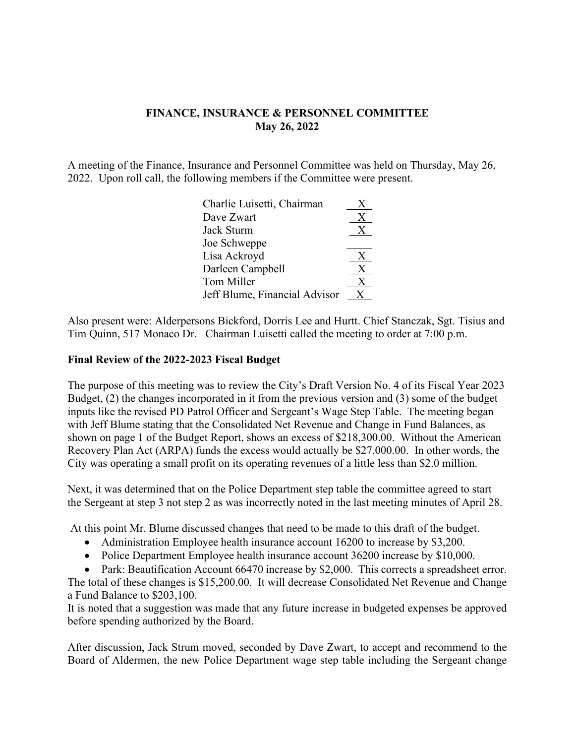## **FINANCE, INSURANCE & PERSONNEL COMMITTEE May 26, 2022**

A meeting of the Finance, Insurance and Personnel Committee was held on Thursday, May 26, 2022. Upon roll call, the following members if the Committee were present.

| Charlie Luisetti, Chairman    | X |
|-------------------------------|---|
| Dave Zwart                    | X |
| Jack Sturm                    | X |
| Joe Schweppe                  |   |
| Lisa Ackroyd                  | X |
| Darleen Campbell              | X |
| Tom Miller                    | Х |
| Jeff Blume, Financial Advisor |   |

Also present were: Alderpersons Bickford, Dorris Lee and Hurtt. Chief Stanczak, Sgt. Tisius and Tim Quinn, 517 Monaco Dr. Chairman Luisetti called the meeting to order at 7:00 p.m.

## **Final Review of the 2022-2023 Fiscal Budget**

The purpose of this meeting was to review the City's Draft Version No. 4 of its Fiscal Year 2023 Budget, (2) the changes incorporated in it from the previous version and (3) some of the budget inputs like the revised PD Patrol Officer and Sergeant's Wage Step Table. The meeting began with Jeff Blume stating that the Consolidated Net Revenue and Change in Fund Balances, as shown on page 1 of the Budget Report, shows an excess of \$218,300.00. Without the American Recovery Plan Act (ARPA) funds the excess would actually be \$27,000.00. In other words, the City was operating a small profit on its operating revenues of a little less than \$2.0 million.

Next, it was determined that on the Police Department step table the committee agreed to start the Sergeant at step 3 not step 2 as was incorrectly noted in the last meeting minutes of April 28.

At this point Mr. Blume discussed changes that need to be made to this draft of the budget.

- Administration Employee health insurance account 16200 to increase by \$3,200.
- Police Department Employee health insurance account 36200 increase by \$10,000.
- Park: Beautification Account 66470 increase by \$2,000. This corrects a spreadsheet error.

The total of these changes is \$15,200.00. It will decrease Consolidated Net Revenue and Change a Fund Balance to \$203,100.

It is noted that a suggestion was made that any future increase in budgeted expenses be approved before spending authorized by the Board.

After discussion, Jack Strum moved, seconded by Dave Zwart, to accept and recommend to the Board of Aldermen, the new Police Department wage step table including the Sergeant change